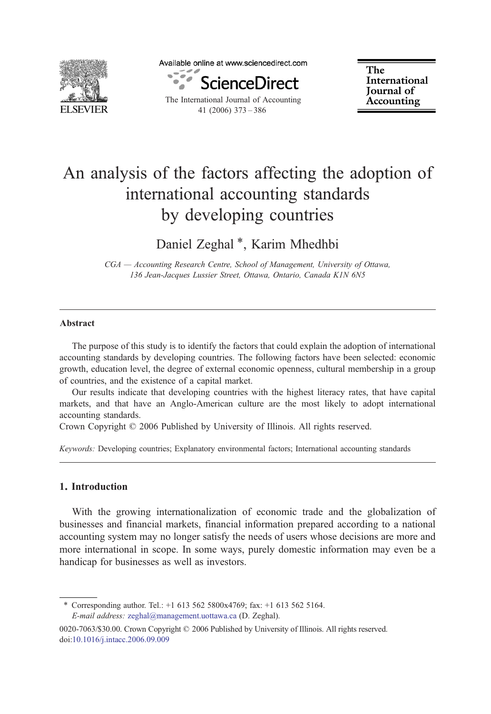

Available online at www.sciencedirect.com



The International Journal of Accounting 41 (2006) 373–386

The International Journal of Accounting

# An analysis of the factors affecting the adoption of international accounting standards by developing countries

Daniel Zeghal<sup>\*</sup>, Karim Mhedhbi

CGA — Accounting Research Centre, School of Management, University of Ottawa, 136 Jean-Jacques Lussier Street, Ottawa, Ontario, Canada K1N 6N5

#### Abstract

The purpose of this study is to identify the factors that could explain the adoption of international accounting standards by developing countries. The following factors have been selected: economic growth, education level, the degree of external economic openness, cultural membership in a group of countries, and the existence of a capital market.

Our results indicate that developing countries with the highest literacy rates, that have capital markets, and that have an Anglo-American culture are the most likely to adopt international accounting standards.

Crown Copyright © 2006 Published by University of Illinois. All rights reserved.

Keywords: Developing countries; Explanatory environmental factors; International accounting standards

#### 1. Introduction

With the growing internationalization of economic trade and the globalization of businesses and financial markets, financial information prepared according to a national accounting system may no longer satisfy the needs of users whose decisions are more and more international in scope. In some ways, purely domestic information may even be a handicap for businesses as well as investors.

⁎ Corresponding author. Tel.: +1 613 562 5800x4769; fax: +1 613 562 5164. E-mail address: [zeghal@management.uottawa.ca](mailto:zeghal@management.uottawa.ca) (D. Zeghal).

<sup>0020-7063/\$30.00.</sup> Crown Copyright © 2006 Published by University of Illinois. All rights reserved. doi:[10.1016/j.intacc.2006.09.009](http://dx.doi.org/10.1016/j.intacc.2006.09.009)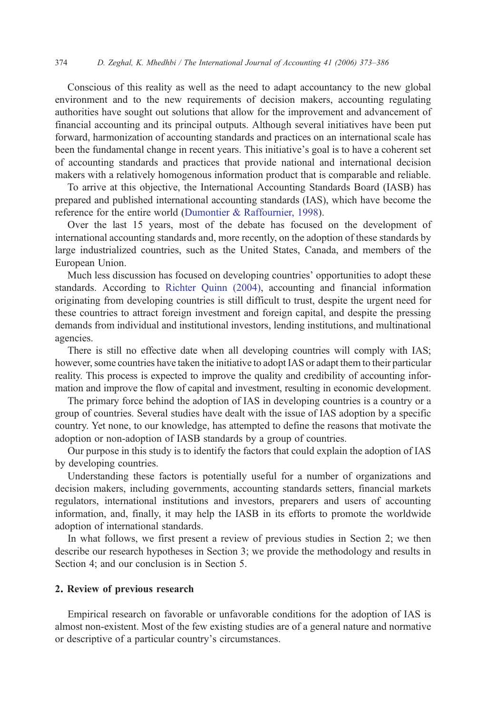Conscious of this reality as well as the need to adapt accountancy to the new global environment and to the new requirements of decision makers, accounting regulating authorities have sought out solutions that allow for the improvement and advancement of financial accounting and its principal outputs. Although several initiatives have been put forward, harmonization of accounting standards and practices on an international scale has been the fundamental change in recent years. This initiative's goal is to have a coherent set of accounting standards and practices that provide national and international decision makers with a relatively homogenous information product that is comparable and reliable.

To arrive at this objective, the International Accounting Standards Board (IASB) has prepared and published international accounting standards (IAS), which have become the reference for the entire world [\(Dumontier & Raffournier, 1998\)](#page--1-0).

Over the last 15 years, most of the debate has focused on the development of international accounting standards and, more recently, on the adoption of these standards by large industrialized countries, such as the United States, Canada, and members of the European Union.

Much less discussion has focused on developing countries' opportunities to adopt these standards. According to [Richter Quinn \(2004\),](#page--1-0) accounting and financial information originating from developing countries is still difficult to trust, despite the urgent need for these countries to attract foreign investment and foreign capital, and despite the pressing demands from individual and institutional investors, lending institutions, and multinational agencies.

There is still no effective date when all developing countries will comply with IAS; however, some countries have taken the initiative to adopt IAS or adapt them to their particular reality. This process is expected to improve the quality and credibility of accounting information and improve the flow of capital and investment, resulting in economic development.

The primary force behind the adoption of IAS in developing countries is a country or a group of countries. Several studies have dealt with the issue of IAS adoption by a specific country. Yet none, to our knowledge, has attempted to define the reasons that motivate the adoption or non-adoption of IASB standards by a group of countries.

Our purpose in this study is to identify the factors that could explain the adoption of IAS by developing countries.

Understanding these factors is potentially useful for a number of organizations and decision makers, including governments, accounting standards setters, financial markets regulators, international institutions and investors, preparers and users of accounting information, and, finally, it may help the IASB in its efforts to promote the worldwide adoption of international standards.

In what follows, we first present a review of previous studies in Section 2; we then describe our research hypotheses in Section 3; we provide the methodology and results in Section 4; and our conclusion is in Section 5.

### 2. Review of previous research

Empirical research on favorable or unfavorable conditions for the adoption of IAS is almost non-existent. Most of the few existing studies are of a general nature and normative or descriptive of a particular country's circumstances.